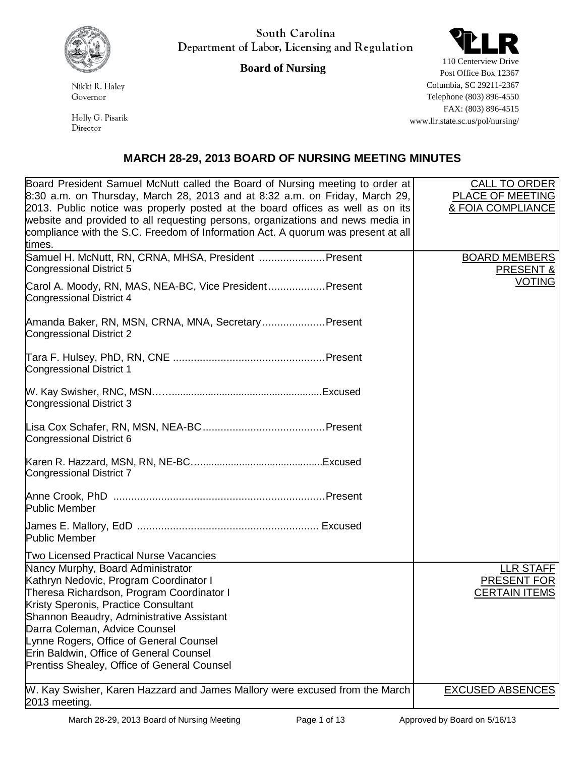

Nikki R. Haley Governor

Holly G. Pisarik Director

South Carolina Department of Labor, Licensing and Regulation

**Board of Nursing**



110 Centerview Drive Post Office Box 12367 Columbia, SC 29211-2367 Telephone (803) 896-4550 FAX: (803) 896-4515 www.llr.state.sc.us/pol/nursing/

## **MARCH 28-29, 2013 BOARD OF NURSING MEETING MINUTES**

| Board President Samuel McNutt called the Board of Nursing meeting to order at<br>$8:30$ a.m. on Thursday, March 28, 2013 and at 8:32 a.m. on Friday, March 29,<br>2013. Public notice was properly posted at the board offices as well as on its<br>website and provided to all requesting persons, organizations and news media in<br>compliance with the S.C. Freedom of Information Act. A quorum was present at all<br>times. | <b>CALL TO ORDER</b><br><b>PLACE OF MEETING</b><br>& FOIA COMPLIANCE |
|-----------------------------------------------------------------------------------------------------------------------------------------------------------------------------------------------------------------------------------------------------------------------------------------------------------------------------------------------------------------------------------------------------------------------------------|----------------------------------------------------------------------|
| Samuel H. McNutt, RN, CRNA, MHSA, President  Present<br>Congressional District 5                                                                                                                                                                                                                                                                                                                                                  | <b>BOARD MEMBERS</b><br>PRESENT &                                    |
| Carol A. Moody, RN, MAS, NEA-BC, Vice President Present<br>Congressional District 4                                                                                                                                                                                                                                                                                                                                               | <b>VOTING</b>                                                        |
| Amanda Baker, RN, MSN, CRNA, MNA, Secretary Present<br>Congressional District 2                                                                                                                                                                                                                                                                                                                                                   |                                                                      |
| <b>Congressional District 1</b>                                                                                                                                                                                                                                                                                                                                                                                                   |                                                                      |
| Congressional District 3                                                                                                                                                                                                                                                                                                                                                                                                          |                                                                      |
| Congressional District 6                                                                                                                                                                                                                                                                                                                                                                                                          |                                                                      |
| Congressional District 7                                                                                                                                                                                                                                                                                                                                                                                                          |                                                                      |
| <b>Public Member</b>                                                                                                                                                                                                                                                                                                                                                                                                              |                                                                      |
| <b>Public Member</b>                                                                                                                                                                                                                                                                                                                                                                                                              |                                                                      |
| <b>Two Licensed Practical Nurse Vacancies</b>                                                                                                                                                                                                                                                                                                                                                                                     |                                                                      |
| Nancy Murphy, Board Administrator<br>Kathryn Nedovic, Program Coordinator I<br>Theresa Richardson, Program Coordinator I<br>Kristy Speronis, Practice Consultant                                                                                                                                                                                                                                                                  | LLR STAFF<br>PRESENT FOR<br><b>CERTAIN ITEMS</b>                     |
| Shannon Beaudry, Administrative Assistant                                                                                                                                                                                                                                                                                                                                                                                         |                                                                      |
| Darra Coleman, Advice Counsel                                                                                                                                                                                                                                                                                                                                                                                                     |                                                                      |
| Lynne Rogers, Office of General Counsel                                                                                                                                                                                                                                                                                                                                                                                           |                                                                      |
| Erin Baldwin, Office of General Counsel<br>Prentiss Shealey, Office of General Counsel                                                                                                                                                                                                                                                                                                                                            |                                                                      |
| W. Kay Swisher, Karen Hazzard and James Mallory were excused from the March<br>2013 meeting.                                                                                                                                                                                                                                                                                                                                      | <b>EXCUSED ABSENCES</b>                                              |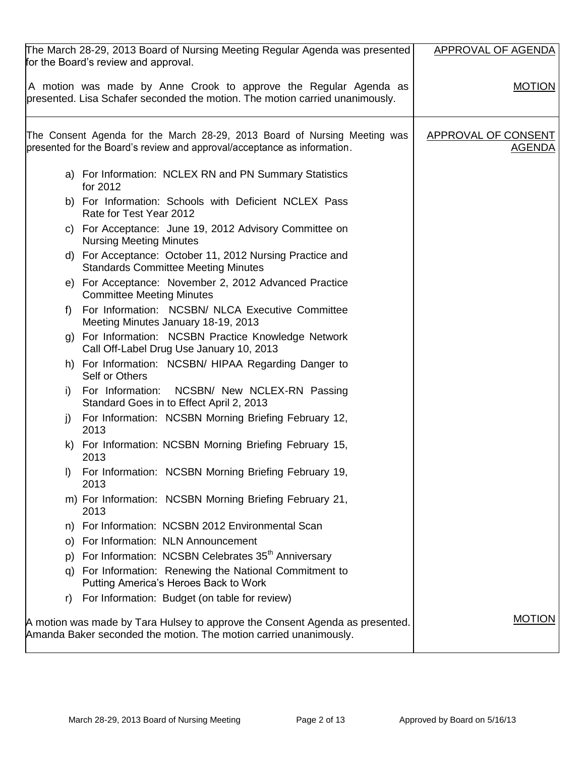| The March 28-29, 2013 Board of Nursing Meeting Regular Agenda was presented<br>for the Board's review and approval.                                   | APPROVAL OF AGENDA                          |
|-------------------------------------------------------------------------------------------------------------------------------------------------------|---------------------------------------------|
| A motion was made by Anne Crook to approve the Regular Agenda as<br>presented. Lisa Schafer seconded the motion. The motion carried unanimously.      | <b>MOTION</b>                               |
| The Consent Agenda for the March 28-29, 2013 Board of Nursing Meeting was<br>presented for the Board's review and approval/acceptance as information. | <b>APPROVAL OF CONSENT</b><br><u>AGENDA</u> |
| a) For Information: NCLEX RN and PN Summary Statistics<br>for 2012                                                                                    |                                             |
| b) For Information: Schools with Deficient NCLEX Pass<br>Rate for Test Year 2012                                                                      |                                             |
| c) For Acceptance: June 19, 2012 Advisory Committee on<br><b>Nursing Meeting Minutes</b>                                                              |                                             |
| d) For Acceptance: October 11, 2012 Nursing Practice and<br><b>Standards Committee Meeting Minutes</b>                                                |                                             |
| e) For Acceptance: November 2, 2012 Advanced Practice<br><b>Committee Meeting Minutes</b>                                                             |                                             |
| For Information: NCSBN/ NLCA Executive Committee<br>t)<br>Meeting Minutes January 18-19, 2013                                                         |                                             |
| g) For Information: NCSBN Practice Knowledge Network<br>Call Off-Label Drug Use January 10, 2013                                                      |                                             |
| h) For Information: NCSBN/ HIPAA Regarding Danger to<br>Self or Others                                                                                |                                             |
| For Information: NCSBN/ New NCLEX-RN Passing<br>i)<br>Standard Goes in to Effect April 2, 2013                                                        |                                             |
| For Information: NCSBN Morning Briefing February 12,<br>j)<br>2013                                                                                    |                                             |
| k) For Information: NCSBN Morning Briefing February 15,<br>2013                                                                                       |                                             |
| I) For Information: NCSBN Morning Briefing February 19,<br>2013                                                                                       |                                             |
| m) For Information: NCSBN Morning Briefing February 21,<br>2013                                                                                       |                                             |
| For Information: NCSBN 2012 Environmental Scan<br>n)                                                                                                  |                                             |
| For Information: NLN Announcement<br>O)                                                                                                               |                                             |
| For Information: NCSBN Celebrates 35 <sup>th</sup> Anniversary<br>p)                                                                                  |                                             |
| For Information: Renewing the National Commitment to<br>q)<br>Putting America's Heroes Back to Work                                                   |                                             |
| For Information: Budget (on table for review)<br>r)                                                                                                   |                                             |
| A motion was made by Tara Hulsey to approve the Consent Agenda as presented.<br>Amanda Baker seconded the motion. The motion carried unanimously.     | <b>MOTION</b>                               |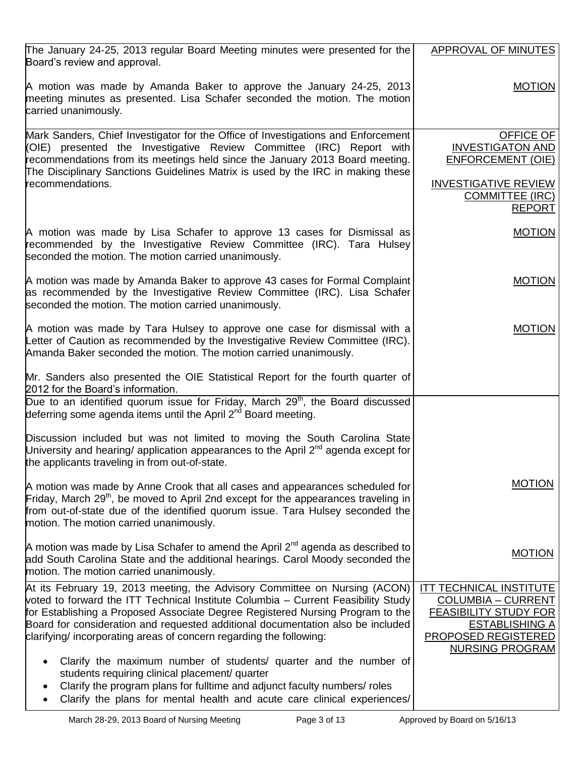| The January 24-25, 2013 regular Board Meeting minutes were presented for the<br>Board's review and approval.                                                                                                                                                                                                                                                                                                | APPROVAL OF MINUTES                                                                                                                                                          |
|-------------------------------------------------------------------------------------------------------------------------------------------------------------------------------------------------------------------------------------------------------------------------------------------------------------------------------------------------------------------------------------------------------------|------------------------------------------------------------------------------------------------------------------------------------------------------------------------------|
| A motion was made by Amanda Baker to approve the January 24-25, 2013<br>meeting minutes as presented. Lisa Schafer seconded the motion. The motion<br>carried unanimously.                                                                                                                                                                                                                                  | <b>MOTION</b>                                                                                                                                                                |
| Mark Sanders, Chief Investigator for the Office of Investigations and Enforcement<br>(OIE) presented the Investigative Review Committee (IRC) Report with<br>recommendations from its meetings held since the January 2013 Board meeting.<br>The Disciplinary Sanctions Guidelines Matrix is used by the IRC in making these<br>recommendations.                                                            | OFFICE OF<br><b>INVESTIGATON AND</b><br><b>ENFORCEMENT (OIE)</b><br><b>INVESTIGATIVE REVIEW</b><br><b>COMMITTEE (IRC)</b><br><b>REPORT</b>                                   |
| A motion was made by Lisa Schafer to approve 13 cases for Dismissal as<br>recommended by the Investigative Review Committee (IRC). Tara Hulsey<br>seconded the motion. The motion carried unanimously.                                                                                                                                                                                                      | <b>MOTION</b>                                                                                                                                                                |
| A motion was made by Amanda Baker to approve 43 cases for Formal Complaint<br>as recommended by the Investigative Review Committee (IRC). Lisa Schafer<br>seconded the motion. The motion carried unanimously.                                                                                                                                                                                              | <b>MOTION</b>                                                                                                                                                                |
| A motion was made by Tara Hulsey to approve one case for dismissal with a<br>Letter of Caution as recommended by the Investigative Review Committee (IRC).<br>Amanda Baker seconded the motion. The motion carried unanimously.                                                                                                                                                                             | <b>MOTION</b>                                                                                                                                                                |
| Mr. Sanders also presented the OIE Statistical Report for the fourth quarter of<br>2012 for the Board's information.                                                                                                                                                                                                                                                                                        |                                                                                                                                                                              |
| Due to an identified quorum issue for Friday, March 29 <sup>th</sup> , the Board discussed<br>deferring some agenda items until the April 2 <sup>nd</sup> Board meeting.                                                                                                                                                                                                                                    |                                                                                                                                                                              |
| Discussion included but was not limited to moving the South Carolina State<br>University and hearing/ application appearances to the April 2 <sup>nd</sup> agenda except for<br>the applicants traveling in from out-of-state.                                                                                                                                                                              |                                                                                                                                                                              |
| A motion was made by Anne Crook that all cases and appearances scheduled for<br>Friday, March 29 <sup>th</sup> , be moved to April 2nd except for the appearances traveling in<br>from out-of-state due of the identified quorum issue. Tara Hulsey seconded the<br>motion. The motion carried unanimously.                                                                                                 | <b>MOTION</b>                                                                                                                                                                |
| A motion was made by Lisa Schafer to amend the April $2^{nd}$ agenda as described to<br>add South Carolina State and the additional hearings. Carol Moody seconded the<br>motion. The motion carried unanimously.                                                                                                                                                                                           | <b>MOTION</b>                                                                                                                                                                |
| At its February 19, 2013 meeting, the Advisory Committee on Nursing (ACON)<br>voted to forward the ITT Technical Institute Columbia - Current Feasibility Study<br>for Establishing a Proposed Associate Degree Registered Nursing Program to the<br>Board for consideration and requested additional documentation also be included<br>clarifying/ incorporating areas of concern regarding the following: | <b>ITT TECHNICAL INSTITUTE</b><br><b>COLUMBIA - CURRENT</b><br><b>FEASIBILITY STUDY FOR</b><br><b>ESTABLISHING A</b><br><b>PROPOSED REGISTERED</b><br><b>NURSING PROGRAM</b> |
| Clarify the maximum number of students/ quarter and the number of<br>students requiring clinical placement/ quarter<br>Clarify the program plans for fulltime and adjunct faculty numbers/ roles<br>Clarify the plans for mental health and acute care clinical experiences/                                                                                                                                |                                                                                                                                                                              |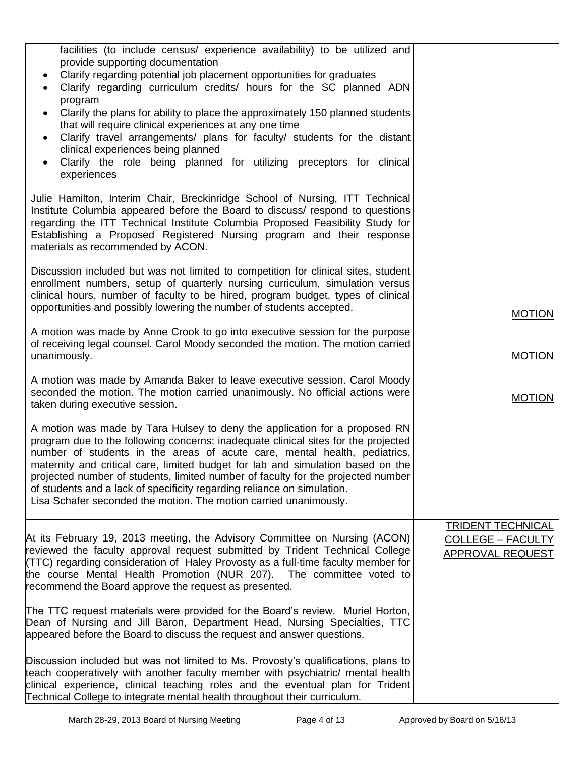| facilities (to include census/ experience availability) to be utilized and<br>provide supporting documentation<br>Clarify regarding potential job placement opportunities for graduates<br>$\bullet$<br>Clarify regarding curriculum credits/ hours for the SC planned ADN<br>program<br>Clarify the plans for ability to place the approximately 150 planned students<br>$\bullet$<br>that will require clinical experiences at any one time<br>Clarify travel arrangements/ plans for faculty/ students for the distant<br>$\bullet$<br>clinical experiences being planned<br>Clarify the role being planned for utilizing preceptors for clinical<br>$\bullet$<br>experiences |                                                                   |
|----------------------------------------------------------------------------------------------------------------------------------------------------------------------------------------------------------------------------------------------------------------------------------------------------------------------------------------------------------------------------------------------------------------------------------------------------------------------------------------------------------------------------------------------------------------------------------------------------------------------------------------------------------------------------------|-------------------------------------------------------------------|
| Julie Hamilton, Interim Chair, Breckinridge School of Nursing, ITT Technical<br>Institute Columbia appeared before the Board to discuss/ respond to questions<br>regarding the ITT Technical Institute Columbia Proposed Feasibility Study for<br>Establishing a Proposed Registered Nursing program and their response<br>materials as recommended by ACON.                                                                                                                                                                                                                                                                                                                     |                                                                   |
| Discussion included but was not limited to competition for clinical sites, student<br>enrollment numbers, setup of quarterly nursing curriculum, simulation versus<br>clinical hours, number of faculty to be hired, program budget, types of clinical<br>opportunities and possibly lowering the number of students accepted.                                                                                                                                                                                                                                                                                                                                                   | <b>MOTION</b>                                                     |
| A motion was made by Anne Crook to go into executive session for the purpose<br>of receiving legal counsel. Carol Moody seconded the motion. The motion carried<br>unanimously.                                                                                                                                                                                                                                                                                                                                                                                                                                                                                                  | <b>MOTION</b>                                                     |
| A motion was made by Amanda Baker to leave executive session. Carol Moody<br>seconded the motion. The motion carried unanimously. No official actions were<br>taken during executive session.                                                                                                                                                                                                                                                                                                                                                                                                                                                                                    | <b>MOTION</b>                                                     |
| A motion was made by Tara Hulsey to deny the application for a proposed RN<br>program due to the following concerns: inadequate clinical sites for the projected<br>number of students in the areas of acute care, mental health, pediatrics,<br>maternity and critical care, limited budget for lab and simulation based on the<br>projected number of students, limited number of faculty for the projected number<br>of students and a lack of specificity regarding reliance on simulation.<br>Lisa Schafer seconded the motion. The motion carried unanimously.                                                                                                             |                                                                   |
| At its February 19, 2013 meeting, the Advisory Committee on Nursing (ACON)<br>reviewed the faculty approval request submitted by Trident Technical College<br>(TTC) regarding consideration of Haley Provosty as a full-time faculty member for<br>the course Mental Health Promotion (NUR 207). The committee voted to<br>recommend the Board approve the request as presented.                                                                                                                                                                                                                                                                                                 | <b>TRIDENT TECHNICAL</b><br>COLLEGE - FACULTY<br>APPROVAL REQUEST |
| The TTC request materials were provided for the Board's review. Muriel Horton,<br>Dean of Nursing and Jill Baron, Department Head, Nursing Specialties, TTC<br>appeared before the Board to discuss the request and answer questions.                                                                                                                                                                                                                                                                                                                                                                                                                                            |                                                                   |
| Discussion included but was not limited to Ms. Provosty's qualifications, plans to<br>teach cooperatively with another faculty member with psychiatric/ mental health<br>clinical experience, clinical teaching roles and the eventual plan for Trident<br>Technical College to integrate mental health throughout their curriculum.                                                                                                                                                                                                                                                                                                                                             |                                                                   |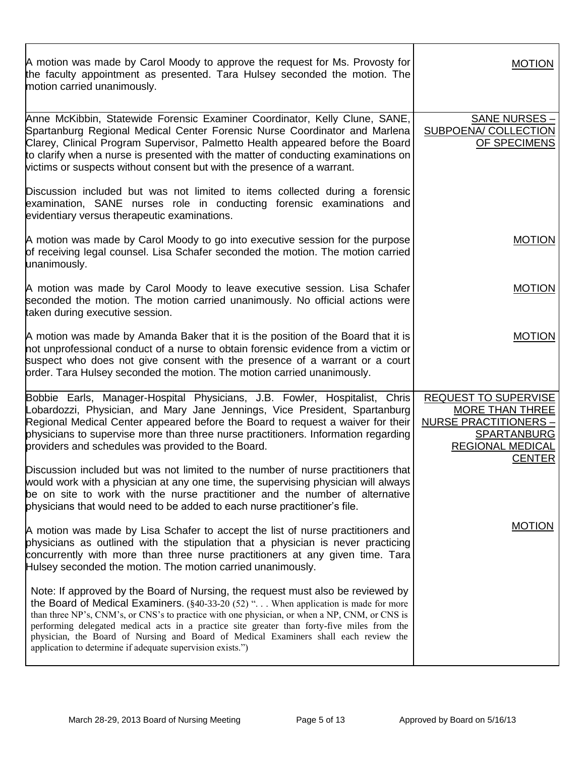| A motion was made by Carol Moody to approve the request for Ms. Provosty for<br>the faculty appointment as presented. Tara Hulsey seconded the motion. The<br>motion carried unanimously.                                                                                                                                                                                                                                                                                                                                                       | <b>MOTION</b>                                                                                                                             |
|-------------------------------------------------------------------------------------------------------------------------------------------------------------------------------------------------------------------------------------------------------------------------------------------------------------------------------------------------------------------------------------------------------------------------------------------------------------------------------------------------------------------------------------------------|-------------------------------------------------------------------------------------------------------------------------------------------|
| Anne McKibbin, Statewide Forensic Examiner Coordinator, Kelly Clune, SANE,<br>Spartanburg Regional Medical Center Forensic Nurse Coordinator and Marlena<br>Clarey, Clinical Program Supervisor, Palmetto Health appeared before the Board<br>to clarify when a nurse is presented with the matter of conducting examinations on<br>victims or suspects without consent but with the presence of a warrant.                                                                                                                                     | SANE NURSES -<br><b>SUBPOENA/ COLLECTION</b><br>OF SPECIMENS                                                                              |
| Discussion included but was not limited to items collected during a forensic<br>examination, SANE nurses role in conducting forensic examinations and<br>evidentiary versus therapeutic examinations.                                                                                                                                                                                                                                                                                                                                           |                                                                                                                                           |
| A motion was made by Carol Moody to go into executive session for the purpose<br>of receiving legal counsel. Lisa Schafer seconded the motion. The motion carried<br>unanimously.                                                                                                                                                                                                                                                                                                                                                               | <b>MOTION</b>                                                                                                                             |
| A motion was made by Carol Moody to leave executive session. Lisa Schafer<br>seconded the motion. The motion carried unanimously. No official actions were<br>taken during executive session.                                                                                                                                                                                                                                                                                                                                                   | <b>MOTION</b>                                                                                                                             |
| A motion was made by Amanda Baker that it is the position of the Board that it is<br>not unprofessional conduct of a nurse to obtain forensic evidence from a victim or<br>suspect who does not give consent with the presence of a warrant or a court<br>order. Tara Hulsey seconded the motion. The motion carried unanimously.                                                                                                                                                                                                               | <b>MOTION</b>                                                                                                                             |
| Bobbie Earls, Manager-Hospital Physicians, J.B. Fowler, Hospitalist, Chris<br>Lobardozzi, Physician, and Mary Jane Jennings, Vice President, Spartanburg<br>Regional Medical Center appeared before the Board to request a waiver for their<br>physicians to supervise more than three nurse practitioners. Information regarding<br>providers and schedules was provided to the Board.                                                                                                                                                         | REQUEST TO SUPERVISE<br>MORE THAN THREE<br><b>NURSE PRACTITIONERS -</b><br><b>SPARTANBURG</b><br><b>REGIONAL MEDICAL</b><br><b>CENTER</b> |
| Discussion included but was not limited to the number of nurse practitioners that<br>would work with a physician at any one time, the supervising physician will always<br>be on site to work with the nurse practitioner and the number of alternative<br>physicians that would need to be added to each nurse practitioner's file.                                                                                                                                                                                                            |                                                                                                                                           |
| A motion was made by Lisa Schafer to accept the list of nurse practitioners and<br>physicians as outlined with the stipulation that a physician is never practicing<br>concurrently with more than three nurse practitioners at any given time. Tara<br>Hulsey seconded the motion. The motion carried unanimously.                                                                                                                                                                                                                             | <b>MOTION</b>                                                                                                                             |
| Note: If approved by the Board of Nursing, the request must also be reviewed by<br>the Board of Medical Examiners. $(\frac{6}{40-33-20} (52)^{\alpha})$ When application is made for more<br>than three NP's, CNM's, or CNS's to practice with one physician, or when a NP, CNM, or CNS is<br>performing delegated medical acts in a practice site greater than forty-five miles from the<br>physician, the Board of Nursing and Board of Medical Examiners shall each review the<br>application to determine if adequate supervision exists.") |                                                                                                                                           |

Г

T

٦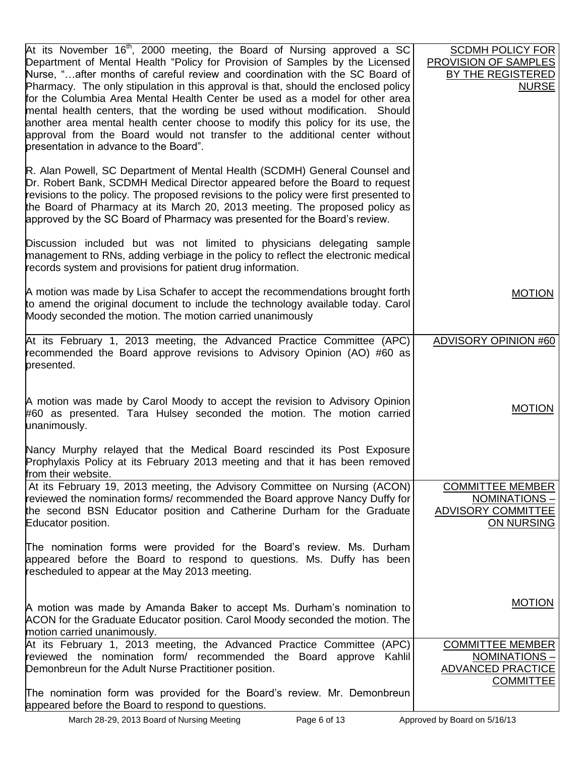| At its November 16 <sup>th</sup> , 2000 meeting, the Board of Nursing approved a SC<br>Department of Mental Health "Policy for Provision of Samples by the Licensed<br>Nurse, "after months of careful review and coordination with the SC Board of<br>Pharmacy. The only stipulation in this approval is that, should the enclosed policy<br>for the Columbia Area Mental Health Center be used as a model for other area<br>mental health centers, that the wording be used without modification. Should<br>another area mental health center choose to modify this policy for its use, the<br>approval from the Board would not transfer to the additional center without<br>presentation in advance to the Board". | <b>SCDMH POLICY FOR</b><br>PROVISION OF SAMPLES<br><b>BY THE REGISTERED</b><br><b>NURSE</b> |
|------------------------------------------------------------------------------------------------------------------------------------------------------------------------------------------------------------------------------------------------------------------------------------------------------------------------------------------------------------------------------------------------------------------------------------------------------------------------------------------------------------------------------------------------------------------------------------------------------------------------------------------------------------------------------------------------------------------------|---------------------------------------------------------------------------------------------|
| R. Alan Powell, SC Department of Mental Health (SCDMH) General Counsel and<br>Dr. Robert Bank, SCDMH Medical Director appeared before the Board to request<br>revisions to the policy. The proposed revisions to the policy were first presented to<br>the Board of Pharmacy at its March 20, 2013 meeting. The proposed policy as<br>approved by the SC Board of Pharmacy was presented for the Board's review.                                                                                                                                                                                                                                                                                                       |                                                                                             |
| Discussion included but was not limited to physicians delegating sample<br>management to RNs, adding verbiage in the policy to reflect the electronic medical<br>records system and provisions for patient drug information.                                                                                                                                                                                                                                                                                                                                                                                                                                                                                           |                                                                                             |
| A motion was made by Lisa Schafer to accept the recommendations brought forth<br>to amend the original document to include the technology available today. Carol<br>Moody seconded the motion. The motion carried unanimously                                                                                                                                                                                                                                                                                                                                                                                                                                                                                          | <b>MOTION</b>                                                                               |
| At its February 1, 2013 meeting, the Advanced Practice Committee (APC)<br>recommended the Board approve revisions to Advisory Opinion (AO) #60 as<br>presented.                                                                                                                                                                                                                                                                                                                                                                                                                                                                                                                                                        | <b>ADVISORY OPINION #60</b>                                                                 |
| A motion was made by Carol Moody to accept the revision to Advisory Opinion<br>#60 as presented. Tara Hulsey seconded the motion. The motion carried<br>unanimously.                                                                                                                                                                                                                                                                                                                                                                                                                                                                                                                                                   | <b>MOTION</b>                                                                               |
| Nancy Murphy relayed that the Medical Board rescinded its Post Exposure<br>Prophylaxis Policy at its February 2013 meeting and that it has been removed<br>from their website.                                                                                                                                                                                                                                                                                                                                                                                                                                                                                                                                         |                                                                                             |
| At its February 19, 2013 meeting, the Advisory Committee on Nursing (ACON)<br>reviewed the nomination forms/recommended the Board approve Nancy Duffy for<br>the second BSN Educator position and Catherine Durham for the Graduate<br>Educator position.                                                                                                                                                                                                                                                                                                                                                                                                                                                              | <b>COMMITTEE MEMBER</b><br>NOMINATIONS-<br>ADVISORY COMMITTEE<br>ON NURSING                 |
| The nomination forms were provided for the Board's review. Ms. Durham<br>appeared before the Board to respond to questions. Ms. Duffy has been<br>rescheduled to appear at the May 2013 meeting.                                                                                                                                                                                                                                                                                                                                                                                                                                                                                                                       |                                                                                             |
| A motion was made by Amanda Baker to accept Ms. Durham's nomination to<br>ACON for the Graduate Educator position. Carol Moody seconded the motion. The<br>motion carried unanimously.                                                                                                                                                                                                                                                                                                                                                                                                                                                                                                                                 | <b>MOTION</b>                                                                               |
| At its February 1, 2013 meeting, the Advanced Practice Committee (APC)<br>reviewed the nomination form/ recommended the Board approve Kahlil<br>Demonbreun for the Adult Nurse Practitioner position.                                                                                                                                                                                                                                                                                                                                                                                                                                                                                                                  | <b>COMMITTEE MEMBER</b><br>NOMINATIONS-<br><b>ADVANCED PRACTICE</b><br><b>COMMITTEE</b>     |
| The nomination form was provided for the Board's review. Mr. Demonbreun<br>appeared before the Board to respond to questions.                                                                                                                                                                                                                                                                                                                                                                                                                                                                                                                                                                                          |                                                                                             |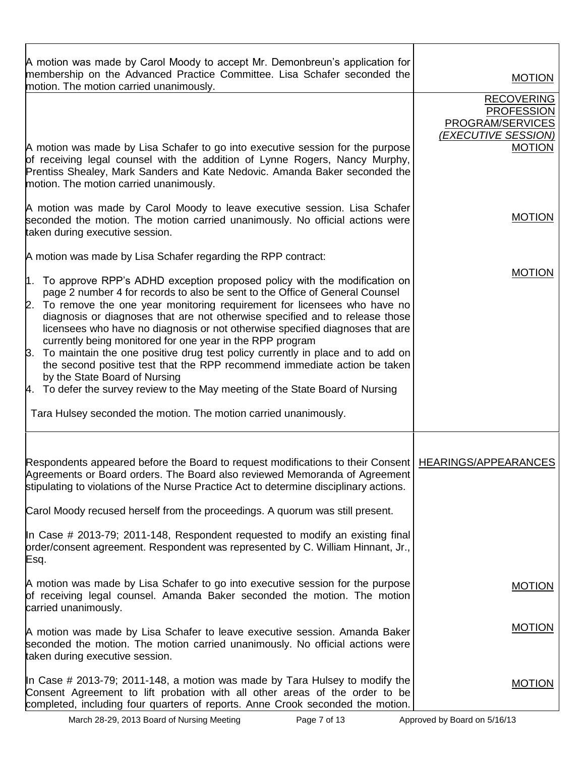| A motion was made by Carol Moody to accept Mr. Demonbreun's application for<br>membership on the Advanced Practice Committee. Lisa Schafer seconded the<br>motion. The motion carried unanimously.                                                                                                                                                                                                                                                                      | <b>MOTION</b>                                                                                      |
|-------------------------------------------------------------------------------------------------------------------------------------------------------------------------------------------------------------------------------------------------------------------------------------------------------------------------------------------------------------------------------------------------------------------------------------------------------------------------|----------------------------------------------------------------------------------------------------|
| A motion was made by Lisa Schafer to go into executive session for the purpose                                                                                                                                                                                                                                                                                                                                                                                          | <b>RECOVERING</b><br><b>PROFESSION</b><br>PROGRAM/SERVICES<br>(EXECUTIVE SESSION)<br><b>MOTION</b> |
| of receiving legal counsel with the addition of Lynne Rogers, Nancy Murphy,<br>Prentiss Shealey, Mark Sanders and Kate Nedovic. Amanda Baker seconded the<br>motion. The motion carried unanimously.                                                                                                                                                                                                                                                                    |                                                                                                    |
| A motion was made by Carol Moody to leave executive session. Lisa Schafer<br>seconded the motion. The motion carried unanimously. No official actions were<br>taken during executive session.                                                                                                                                                                                                                                                                           | <b>MOTION</b>                                                                                      |
| A motion was made by Lisa Schafer regarding the RPP contract:                                                                                                                                                                                                                                                                                                                                                                                                           |                                                                                                    |
| 1. To approve RPP's ADHD exception proposed policy with the modification on<br>page 2 number 4 for records to also be sent to the Office of General Counsel<br>2. To remove the one year monitoring requirement for licensees who have no<br>diagnosis or diagnoses that are not otherwise specified and to release those<br>licensees who have no diagnosis or not otherwise specified diagnoses that are<br>currently being monitored for one year in the RPP program | <b>MOTION</b>                                                                                      |
| 3. To maintain the one positive drug test policy currently in place and to add on<br>the second positive test that the RPP recommend immediate action be taken                                                                                                                                                                                                                                                                                                          |                                                                                                    |
| by the State Board of Nursing<br>4. To defer the survey review to the May meeting of the State Board of Nursing                                                                                                                                                                                                                                                                                                                                                         |                                                                                                    |
| Tara Hulsey seconded the motion. The motion carried unanimously.                                                                                                                                                                                                                                                                                                                                                                                                        |                                                                                                    |
| Respondents appeared before the Board to request modifications to their Consent   HEARINGS/APPEARANCES<br>Agreements or Board orders. The Board also reviewed Memoranda of Agreement<br>stipulating to violations of the Nurse Practice Act to determine disciplinary actions.                                                                                                                                                                                          |                                                                                                    |
| Carol Moody recused herself from the proceedings. A quorum was still present.                                                                                                                                                                                                                                                                                                                                                                                           |                                                                                                    |
| In Case # 2013-79; 2011-148, Respondent requested to modify an existing final<br>order/consent agreement. Respondent was represented by C. William Hinnant, Jr.,<br>Esq.                                                                                                                                                                                                                                                                                                |                                                                                                    |
| A motion was made by Lisa Schafer to go into executive session for the purpose<br>of receiving legal counsel. Amanda Baker seconded the motion. The motion<br>carried unanimously.                                                                                                                                                                                                                                                                                      | <b>MOTION</b>                                                                                      |
| A motion was made by Lisa Schafer to leave executive session. Amanda Baker<br>seconded the motion. The motion carried unanimously. No official actions were<br>taken during executive session.                                                                                                                                                                                                                                                                          | <b>MOTION</b>                                                                                      |
| In Case # 2013-79; 2011-148, a motion was made by Tara Hulsey to modify the<br>Consent Agreement to lift probation with all other areas of the order to be<br>completed, including four quarters of reports. Anne Crook seconded the motion.                                                                                                                                                                                                                            | <b>MOTION</b>                                                                                      |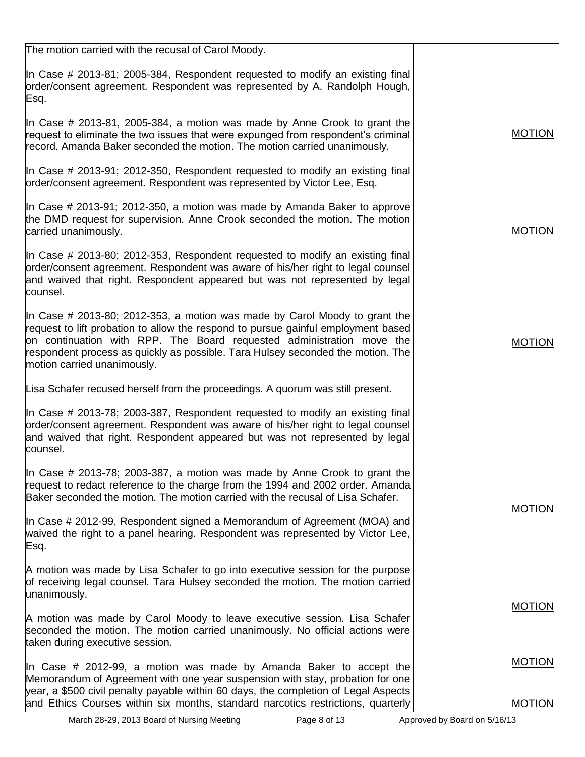| The motion carried with the recusal of Carol Moody.                                                                                                                                                                                                                                                                                                        |               |
|------------------------------------------------------------------------------------------------------------------------------------------------------------------------------------------------------------------------------------------------------------------------------------------------------------------------------------------------------------|---------------|
| In Case # 2013-81; 2005-384, Respondent requested to modify an existing final<br>order/consent agreement. Respondent was represented by A. Randolph Hough,<br>Esq.                                                                                                                                                                                         |               |
| In Case # 2013-81, 2005-384, a motion was made by Anne Crook to grant the<br>request to eliminate the two issues that were expunged from respondent's criminal<br>record. Amanda Baker seconded the motion. The motion carried unanimously.                                                                                                                | <b>MOTION</b> |
| In Case # 2013-91; 2012-350, Respondent requested to modify an existing final<br>prder/consent agreement. Respondent was represented by Victor Lee, Esq.                                                                                                                                                                                                   |               |
| In Case # 2013-91; 2012-350, a motion was made by Amanda Baker to approve<br>the DMD request for supervision. Anne Crook seconded the motion. The motion<br>carried unanimously.                                                                                                                                                                           | <b>MOTION</b> |
| In Case # 2013-80; 2012-353, Respondent requested to modify an existing final<br>order/consent agreement. Respondent was aware of his/her right to legal counsel<br>and waived that right. Respondent appeared but was not represented by legal<br>counsel.                                                                                                |               |
| In Case # 2013-80; 2012-353, a motion was made by Carol Moody to grant the<br>request to lift probation to allow the respond to pursue gainful employment based<br>on continuation with RPP. The Board requested administration move the<br>respondent process as quickly as possible. Tara Hulsey seconded the motion. The<br>motion carried unanimously. | <b>MOTION</b> |
| Lisa Schafer recused herself from the proceedings. A quorum was still present.                                                                                                                                                                                                                                                                             |               |
| In Case # 2013-78; 2003-387, Respondent requested to modify an existing final<br>order/consent agreement. Respondent was aware of his/her right to legal counsel<br>and waived that right. Respondent appeared but was not represented by legal<br>counsel.                                                                                                |               |
| In Case # 2013-78; 2003-387, a motion was made by Anne Crook to grant the<br>request to redact reference to the charge from the 1994 and 2002 order. Amanda<br>Baker seconded the motion. The motion carried with the recusal of Lisa Schafer.                                                                                                             | <b>MOTION</b> |
| In Case # 2012-99, Respondent signed a Memorandum of Agreement (MOA) and<br>waived the right to a panel hearing. Respondent was represented by Victor Lee,<br>Esq.                                                                                                                                                                                         |               |
| A motion was made by Lisa Schafer to go into executive session for the purpose<br>of receiving legal counsel. Tara Hulsey seconded the motion. The motion carried<br>unanimously.                                                                                                                                                                          |               |
| A motion was made by Carol Moody to leave executive session. Lisa Schafer<br>seconded the motion. The motion carried unanimously. No official actions were<br>taken during executive session.                                                                                                                                                              | <b>MOTION</b> |
| In Case # 2012-99, a motion was made by Amanda Baker to accept the<br>Memorandum of Agreement with one year suspension with stay, probation for one<br>year, a \$500 civil penalty payable within 60 days, the completion of Legal Aspects                                                                                                                 | <b>MOTION</b> |
| and Ethics Courses within six months, standard narcotics restrictions, quarterly                                                                                                                                                                                                                                                                           | <b>MOTION</b> |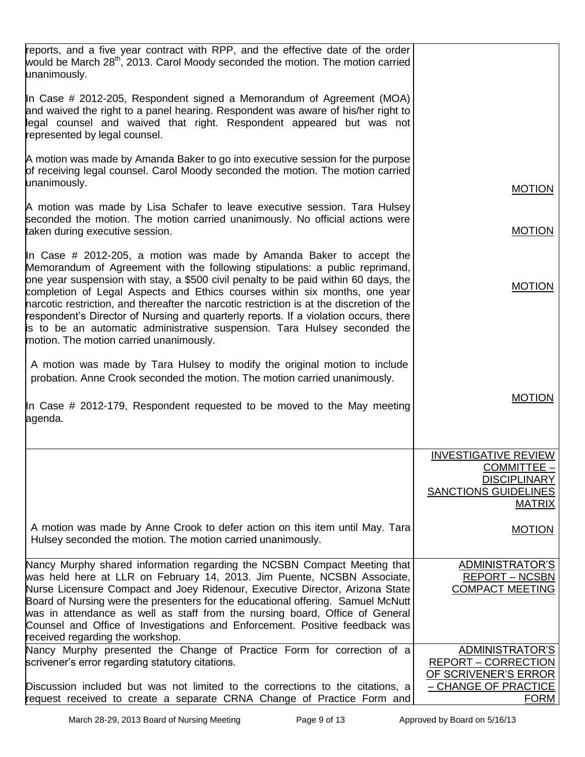| reports, and a five year contract with RPP, and the effective date of the order<br>would be March 28 <sup>th</sup> , 2013. Carol Moody seconded the motion. The motion carried<br>unanimously.                                                                                                                                                                                                                                                                                                                                                                 |                                                                     |
|----------------------------------------------------------------------------------------------------------------------------------------------------------------------------------------------------------------------------------------------------------------------------------------------------------------------------------------------------------------------------------------------------------------------------------------------------------------------------------------------------------------------------------------------------------------|---------------------------------------------------------------------|
| In Case # 2012-205, Respondent signed a Memorandum of Agreement (MOA)<br>and waived the right to a panel hearing. Respondent was aware of his/her right to<br>legal counsel and waived that right. Respondent appeared but was not<br>represented by legal counsel.                                                                                                                                                                                                                                                                                            |                                                                     |
| A motion was made by Amanda Baker to go into executive session for the purpose<br>of receiving legal counsel. Carol Moody seconded the motion. The motion carried<br>unanimously.                                                                                                                                                                                                                                                                                                                                                                              | <b>MOTION</b>                                                       |
| A motion was made by Lisa Schafer to leave executive session. Tara Hulsey<br>seconded the motion. The motion carried unanimously. No official actions were<br>taken during executive session.                                                                                                                                                                                                                                                                                                                                                                  | <b>MOTION</b>                                                       |
| In Case # 2012-205, a motion was made by Amanda Baker to accept the                                                                                                                                                                                                                                                                                                                                                                                                                                                                                            |                                                                     |
| Memorandum of Agreement with the following stipulations: a public reprimand,<br>one year suspension with stay, a \$500 civil penalty to be paid within 60 days, the<br>completion of Legal Aspects and Ethics courses within six months, one year<br>narcotic restriction, and thereafter the narcotic restriction is at the discretion of the<br>respondent's Director of Nursing and quarterly reports. If a violation occurs, there<br>is to be an automatic administrative suspension. Tara Hulsey seconded the<br>motion. The motion carried unanimously. | <b>MOTION</b>                                                       |
| A motion was made by Tara Hulsey to modify the original motion to include                                                                                                                                                                                                                                                                                                                                                                                                                                                                                      |                                                                     |
| probation. Anne Crook seconded the motion. The motion carried unanimously.                                                                                                                                                                                                                                                                                                                                                                                                                                                                                     |                                                                     |
| In Case # 2012-179, Respondent requested to be moved to the May meeting<br>agenda.                                                                                                                                                                                                                                                                                                                                                                                                                                                                             | <b>MOTION</b>                                                       |
|                                                                                                                                                                                                                                                                                                                                                                                                                                                                                                                                                                | <b>INVESTIGATIVE REVIEW</b>                                         |
|                                                                                                                                                                                                                                                                                                                                                                                                                                                                                                                                                                | COMMITTEE -                                                         |
|                                                                                                                                                                                                                                                                                                                                                                                                                                                                                                                                                                | <b>DISCIPLINARY</b><br><b>SANCTIONS GUIDELINES</b><br><b>MATRIX</b> |
| A motion was made by Anne Crook to defer action on this item until May. Tara<br>Hulsey seconded the motion. The motion carried unanimously.                                                                                                                                                                                                                                                                                                                                                                                                                    | <b>MOTION</b>                                                       |
| Nancy Murphy shared information regarding the NCSBN Compact Meeting that<br>was held here at LLR on February 14, 2013. Jim Puente, NCSBN Associate,<br>Nurse Licensure Compact and Joey Ridenour, Executive Director, Arizona State<br>Board of Nursing were the presenters for the educational offering. Samuel McNutt<br>was in attendance as well as staff from the nursing board, Office of General<br>Counsel and Office of Investigations and Enforcement. Positive feedback was<br>received regarding the workshop.                                     | ADMINISTRATOR'S<br><b>REPORT - NCSBN</b><br><b>COMPACT MEETING</b>  |
| Nancy Murphy presented the Change of Practice Form for correction of a                                                                                                                                                                                                                                                                                                                                                                                                                                                                                         | ADMINISTRATOR'S<br><b>REPORT - CORRECTION</b>                       |
| scrivener's error regarding statutory citations.                                                                                                                                                                                                                                                                                                                                                                                                                                                                                                               | OF SCRIVENER'S ERROR                                                |
| Discussion included but was not limited to the corrections to the citations, a                                                                                                                                                                                                                                                                                                                                                                                                                                                                                 | - CHANGE OF PRACTICE                                                |
| request received to create a separate CRNA Change of Practice Form and                                                                                                                                                                                                                                                                                                                                                                                                                                                                                         | <b>FORM</b>                                                         |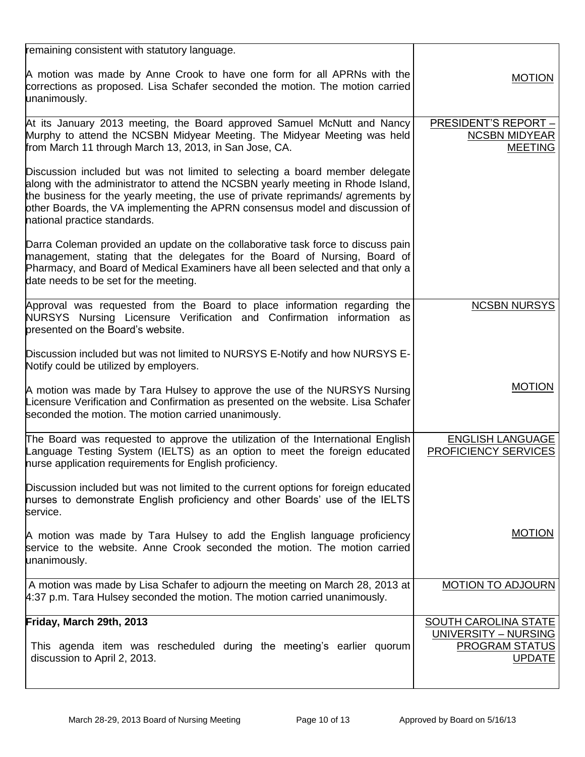| remaining consistent with statutory language.                                                                                                                                                                                                                                                                                                                        |                                                                |
|----------------------------------------------------------------------------------------------------------------------------------------------------------------------------------------------------------------------------------------------------------------------------------------------------------------------------------------------------------------------|----------------------------------------------------------------|
| A motion was made by Anne Crook to have one form for all APRNs with the<br>corrections as proposed. Lisa Schafer seconded the motion. The motion carried<br>unanimously.                                                                                                                                                                                             | <b>MOTION</b>                                                  |
| At its January 2013 meeting, the Board approved Samuel McNutt and Nancy<br>Murphy to attend the NCSBN Midyear Meeting. The Midyear Meeting was held<br>from March 11 through March 13, 2013, in San Jose, CA.                                                                                                                                                        | PRESIDENT'S REPORT -<br><b>NCSBN MIDYEAR</b><br><b>MEETING</b> |
| Discussion included but was not limited to selecting a board member delegate<br>along with the administrator to attend the NCSBN yearly meeting in Rhode Island,<br>the business for the yearly meeting, the use of private reprimands/ agrements by<br>other Boards, the VA implementing the APRN consensus model and discussion of<br>national practice standards. |                                                                |
| Darra Coleman provided an update on the collaborative task force to discuss pain<br>management, stating that the delegates for the Board of Nursing, Board of<br>Pharmacy, and Board of Medical Examiners have all been selected and that only a<br>date needs to be set for the meeting.                                                                            |                                                                |
| Approval was requested from the Board to place information regarding the<br>NURSYS Nursing Licensure Verification and Confirmation information as<br>presented on the Board's website.                                                                                                                                                                               | <b>NCSBN NURSYS</b>                                            |
| Discussion included but was not limited to NURSYS E-Notify and how NURSYS E-<br>Notify could be utilized by employers.                                                                                                                                                                                                                                               |                                                                |
| A motion was made by Tara Hulsey to approve the use of the NURSYS Nursing<br>Licensure Verification and Confirmation as presented on the website. Lisa Schafer<br>seconded the motion. The motion carried unanimously.                                                                                                                                               | <b>MOTION</b>                                                  |
| The Board was requested to approve the utilization of the International English<br>Language Testing System (IELTS) as an option to meet the foreign educated<br>hurse application requirements for English proficiency.                                                                                                                                              | <b>ENGLISH LANGUAGE</b><br>PROFICIENCY SERVICES                |
| Discussion included but was not limited to the current options for foreign educated<br>hurses to demonstrate English proficiency and other Boards' use of the IELTS<br>service.                                                                                                                                                                                      |                                                                |
| A motion was made by Tara Hulsey to add the English language proficiency<br>service to the website. Anne Crook seconded the motion. The motion carried<br>unanimously.                                                                                                                                                                                               | <b>MOTION</b>                                                  |
| A motion was made by Lisa Schafer to adjourn the meeting on March 28, 2013 at<br>4:37 p.m. Tara Hulsey seconded the motion. The motion carried unanimously.                                                                                                                                                                                                          | <b>MOTION TO ADJOURN</b>                                       |
| Friday, March 29th, 2013                                                                                                                                                                                                                                                                                                                                             | SOUTH CAROLINA STATE                                           |
| This agenda item was rescheduled during the meeting's earlier quorum<br>discussion to April 2, 2013.                                                                                                                                                                                                                                                                 | UNIVERSITY - NURSING<br><b>PROGRAM STATUS</b><br><b>UPDATE</b> |
|                                                                                                                                                                                                                                                                                                                                                                      |                                                                |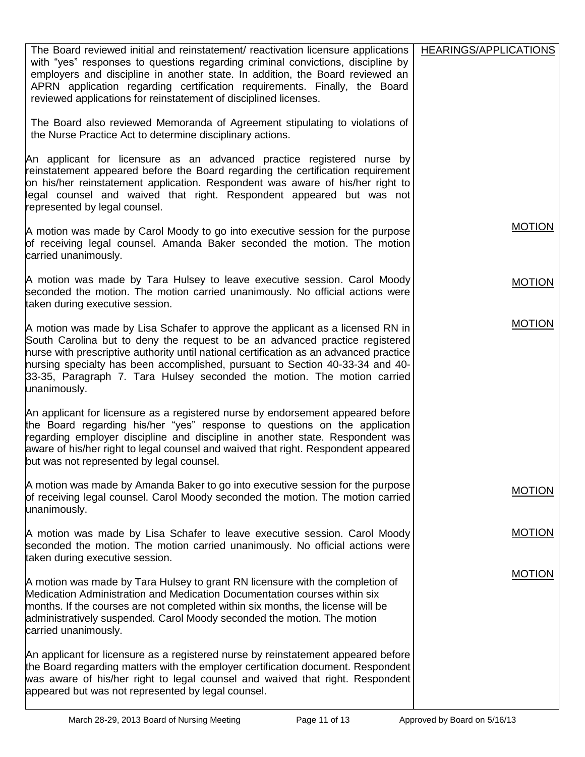| The Board reviewed initial and reinstatement/ reactivation licensure applications<br>with "yes" responses to questions regarding criminal convictions, discipline by<br>employers and discipline in another state. In addition, the Board reviewed an<br>APRN application regarding certification requirements. Finally, the Board<br>reviewed applications for reinstatement of disciplined licenses.                               | HEARINGS/APPLICATIONS |
|--------------------------------------------------------------------------------------------------------------------------------------------------------------------------------------------------------------------------------------------------------------------------------------------------------------------------------------------------------------------------------------------------------------------------------------|-----------------------|
| The Board also reviewed Memoranda of Agreement stipulating to violations of<br>the Nurse Practice Act to determine disciplinary actions.                                                                                                                                                                                                                                                                                             |                       |
| An applicant for licensure as an advanced practice registered nurse by<br>reinstatement appeared before the Board regarding the certification requirement<br>on his/her reinstatement application. Respondent was aware of his/her right to<br>legal counsel and waived that right. Respondent appeared but was not<br>represented by legal counsel.                                                                                 |                       |
| A motion was made by Carol Moody to go into executive session for the purpose<br>of receiving legal counsel. Amanda Baker seconded the motion. The motion<br>carried unanimously.                                                                                                                                                                                                                                                    | <b>MOTION</b>         |
| A motion was made by Tara Hulsey to leave executive session. Carol Moody<br>seconded the motion. The motion carried unanimously. No official actions were<br>taken during executive session.                                                                                                                                                                                                                                         | <b>MOTION</b>         |
| A motion was made by Lisa Schafer to approve the applicant as a licensed RN in<br>South Carolina but to deny the request to be an advanced practice registered<br>hurse with prescriptive authority until national certification as an advanced practice<br>hursing specialty has been accomplished, pursuant to Section 40-33-34 and 40-<br>33-35, Paragraph 7. Tara Hulsey seconded the motion. The motion carried<br>unanimously. | <b>MOTION</b>         |
| An applicant for licensure as a registered nurse by endorsement appeared before<br>the Board regarding his/her "yes" response to questions on the application<br>regarding employer discipline and discipline in another state. Respondent was<br>aware of his/her right to legal counsel and waived that right. Respondent appeared<br>but was not represented by legal counsel.                                                    |                       |
| A motion was made by Amanda Baker to go into executive session for the purpose<br>of receiving legal counsel. Carol Moody seconded the motion. The motion carried<br>unanimously.                                                                                                                                                                                                                                                    | <b>MOTION</b>         |
| A motion was made by Lisa Schafer to leave executive session. Carol Moody<br>seconded the motion. The motion carried unanimously. No official actions were<br>taken during executive session.                                                                                                                                                                                                                                        | <b>MOTION</b>         |
| A motion was made by Tara Hulsey to grant RN licensure with the completion of<br>Medication Administration and Medication Documentation courses within six<br>months. If the courses are not completed within six months, the license will be<br>administratively suspended. Carol Moody seconded the motion. The motion<br>carried unanimously.                                                                                     | <b>MOTION</b>         |
| An applicant for licensure as a registered nurse by reinstatement appeared before<br>the Board regarding matters with the employer certification document. Respondent<br>was aware of his/her right to legal counsel and waived that right. Respondent<br>appeared but was not represented by legal counsel.                                                                                                                         |                       |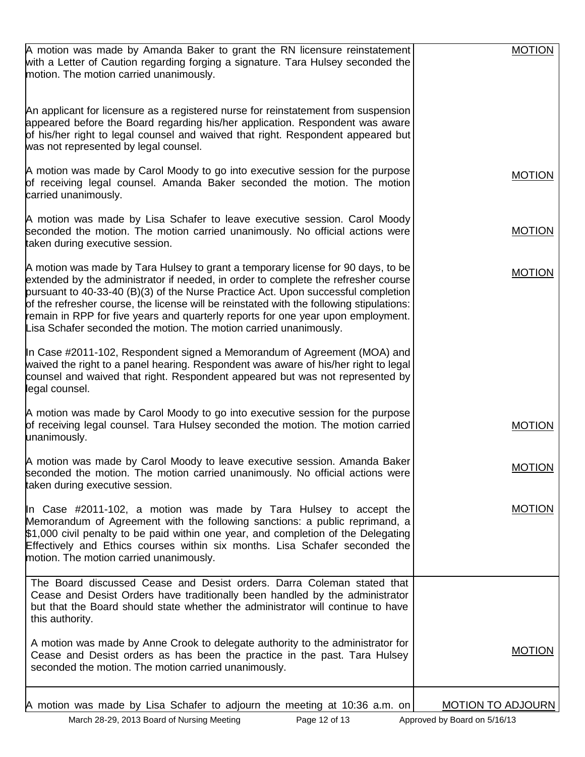| A motion was made by Amanda Baker to grant the RN licensure reinstatement<br>with a Letter of Caution regarding forging a signature. Tara Hulsey seconded the<br>motion. The motion carried unanimously.                                                                                                                                                                                                                                                                                                         | <b>MOTION</b>            |
|------------------------------------------------------------------------------------------------------------------------------------------------------------------------------------------------------------------------------------------------------------------------------------------------------------------------------------------------------------------------------------------------------------------------------------------------------------------------------------------------------------------|--------------------------|
| An applicant for licensure as a registered nurse for reinstatement from suspension<br>appeared before the Board regarding his/her application. Respondent was aware<br>of his/her right to legal counsel and waived that right. Respondent appeared but<br>was not represented by legal counsel.                                                                                                                                                                                                                 |                          |
| A motion was made by Carol Moody to go into executive session for the purpose<br>of receiving legal counsel. Amanda Baker seconded the motion. The motion<br>carried unanimously.                                                                                                                                                                                                                                                                                                                                | <b>MOTION</b>            |
| A motion was made by Lisa Schafer to leave executive session. Carol Moody<br>seconded the motion. The motion carried unanimously. No official actions were<br>taken during executive session.                                                                                                                                                                                                                                                                                                                    | <b>MOTION</b>            |
| A motion was made by Tara Hulsey to grant a temporary license for 90 days, to be<br>extended by the administrator if needed, in order to complete the refresher course<br>pursuant to 40-33-40 (B)(3) of the Nurse Practice Act. Upon successful completion<br>of the refresher course, the license will be reinstated with the following stipulations:<br>remain in RPP for five years and quarterly reports for one year upon employment.<br>Lisa Schafer seconded the motion. The motion carried unanimously. | <b>MOTION</b>            |
| In Case #2011-102, Respondent signed a Memorandum of Agreement (MOA) and<br>waived the right to a panel hearing. Respondent was aware of his/her right to legal<br>counsel and waived that right. Respondent appeared but was not represented by<br>legal counsel.                                                                                                                                                                                                                                               |                          |
| A motion was made by Carol Moody to go into executive session for the purpose<br>of receiving legal counsel. Tara Hulsey seconded the motion. The motion carried<br>unanimously.                                                                                                                                                                                                                                                                                                                                 | <b>MOTION</b>            |
| A motion was made by Carol Moody to leave executive session. Amanda Baker<br>seconded the motion. The motion carried unanimously. No official actions were<br>taken during executive session.                                                                                                                                                                                                                                                                                                                    | <b>MOTION</b>            |
| In Case $\#2011$ -102, a motion was made by Tara Hulsey to accept the<br>Memorandum of Agreement with the following sanctions: a public reprimand, a<br>\$1,000 civil penalty to be paid within one year, and completion of the Delegating<br>Effectively and Ethics courses within six months. Lisa Schafer seconded the<br>motion. The motion carried unanimously.                                                                                                                                             | <b>MOTION</b>            |
| The Board discussed Cease and Desist orders. Darra Coleman stated that<br>Cease and Desist Orders have traditionally been handled by the administrator<br>but that the Board should state whether the administrator will continue to have<br>this authority.                                                                                                                                                                                                                                                     |                          |
| A motion was made by Anne Crook to delegate authority to the administrator for<br>Cease and Desist orders as has been the practice in the past. Tara Hulsey<br>seconded the motion. The motion carried unanimously.                                                                                                                                                                                                                                                                                              | <b>MOTION</b>            |
| A motion was made by Lisa Schafer to adjourn the meeting at 10:36 a.m. on                                                                                                                                                                                                                                                                                                                                                                                                                                        | <b>MOTION TO ADJOURN</b> |